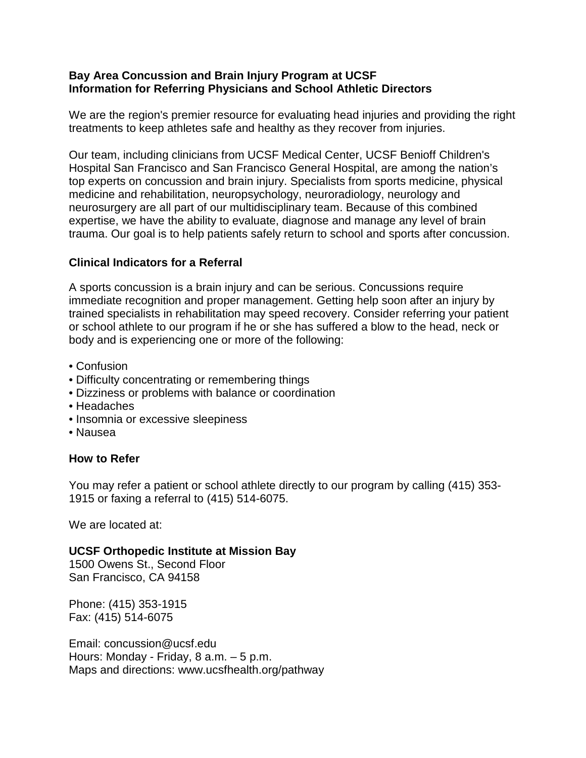#### **Bay Area Concussion and Brain Injury Program at UCSF Information for Referring Physicians and School Athletic Directors**

We are the region's premier resource for evaluating head injuries and providing the right treatments to keep athletes safe and healthy as they recover from injuries.

Our team, including clinicians from UCSF Medical Center, UCSF Benioff Children's Hospital San Francisco and San Francisco General Hospital, are among the nation's top experts on concussion and brain injury. Specialists from sports medicine, physical medicine and rehabilitation, neuropsychology, neuroradiology, neurology and neurosurgery are all part of our multidisciplinary team. Because of this combined expertise, we have the ability to evaluate, diagnose and manage any level of brain trauma. Our goal is to help patients safely return to school and sports after concussion.

### **Clinical Indicators for a Referral**

A sports concussion is a brain injury and can be serious. Concussions require immediate recognition and proper management. Getting help soon after an injury by trained specialists in rehabilitation may speed recovery. Consider referring your patient or school athlete to our program if he or she has suffered a blow to the head, neck or body and is experiencing one or more of the following:

- Confusion
- Difficulty concentrating or remembering things
- Dizziness or problems with balance or coordination
- Headaches
- Insomnia or excessive sleepiness
- Nausea

### **How to Refer**

You may refer a patient or school athlete directly to our program by calling (415) 353- 1915 or faxing a referral to (415) 514-6075.

We are located at:

**UCSF Orthopedic Institute at Mission Bay**

1500 Owens St., Second Floor San Francisco, CA 94158

Phone: (415) 353-1915 Fax: (415) 514-6075

Email: concussion@ucsf.edu Hours: Monday - Friday, 8 a.m. – 5 p.m. Maps and directions: www.ucsfhealth.org/pathway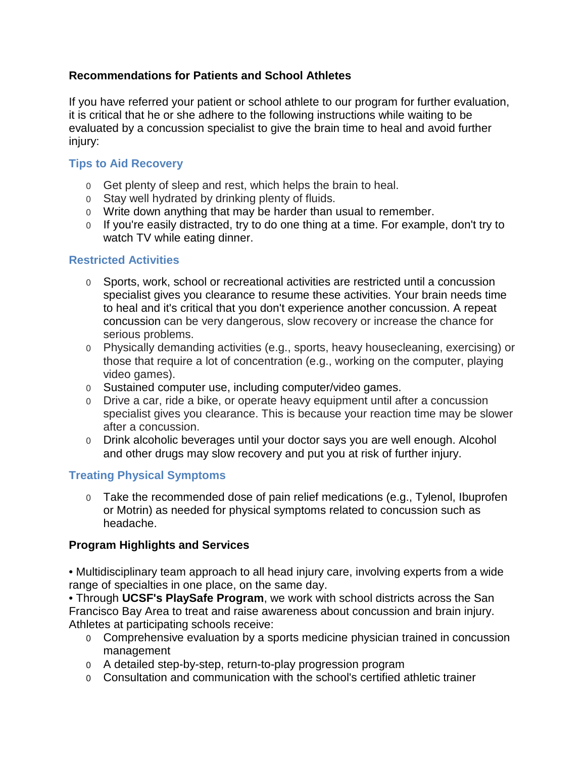# **Recommendations for Patients and School Athletes**

If you have referred your patient or school athlete to our program for further evaluation, it is critical that he or she adhere to the following instructions while waiting to be evaluated by a concussion specialist to give the brain time to heal and avoid further injury:

## **Tips to Aid Recovery**

- o Get plenty of sleep and rest, which helps the brain to heal.
- o Stay well hydrated by drinking plenty of fluids.
- o Write down anything that may be harder than usual to remember.
- o If you're easily distracted, try to do one thing at a time. For example, don't try to watch TV while eating dinner.

## **Restricted Activities**

- o Sports, work, school or recreational activities are restricted until a concussion specialist gives you clearance to resume these activities. Your brain needs time to heal and it's critical that you don't experience another concussion. A repeat concussion can be very dangerous, slow recovery or increase the chance for serious problems.
- o Physically demanding activities (e.g., sports, heavy housecleaning, exercising) or those that require a lot of concentration (e.g., working on the computer, playing video games).
- o Sustained computer use, including computer/video games.
- o Drive a car, ride a bike, or operate heavy equipment until after a concussion specialist gives you clearance. This is because your reaction time may be slower after a concussion.
- o Drink alcoholic beverages until your doctor says you are well enough. Alcohol and other drugs may slow recovery and put you at risk of further injury.

# **Treating Physical Symptoms**

o Take the recommended dose of pain relief medications (e.g., Tylenol, Ibuprofen or Motrin) as needed for physical symptoms related to concussion such as headache.

### **Program Highlights and Services**

• Multidisciplinary team approach to all head injury care, involving experts from a wide range of specialties in one place, on the same day.

• Through **UCSF's PlaySafe Program**, we work with school districts across the San Francisco Bay Area to treat and raise awareness about concussion and brain injury. Athletes at participating schools receive:

- o Comprehensive evaluation by a sports medicine physician trained in concussion management
- o A detailed step-by-step, return-to-play progression program
- o Consultation and communication with the school's certified athletic trainer